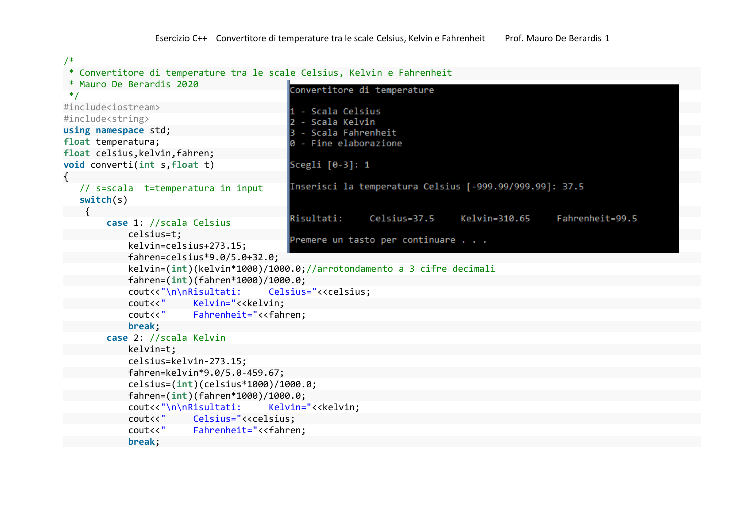```
/*
```
## \* Convertitore di temperature tra le scale Celsius, Kelvin e Fahrenheit

```
* Mauro De Berardis 2020
                                         Convertitore di temperature
 */
#include<iostream>
                                         1 - Scala Celsius
#include<string>
                                           - Scala Kelvin
                                          I2
using namespace std;
                                         3 - Scala Fahrenheit
float temperatura;
                                         |0 - Fine elaborazione
float celsius,kelvin,fahren;
void converti(int s,float t)
                                         Scegli [0-3]: 1
{
                                         Inserisci la temperatura Celsius [-999.99/999.99]: 37.5
  // s=scala t=temperatura in input
  switch(s)
\left\{\right.Risultati:
                                                        Celsius=37.5
                                                                         Kelvin=310.65
                                                                                           Fahrenheit=99.5
        case 1: //scala Celsius
           celsius=t;
                                         Premere un tasto per continuare . . .
            kelvin=celsius+273.15;
           fahren=celsius*9.0/5.0+32.0;
            kelvin=(int)(kelvin*1000)/1000.0;//arrotondamento a 3 cifre decimali
            fahren=(int)(fahren*1000)/1000.0;
           cout<<"\n\nRisultati: Celsius="<<celsius;
            cout<<" Kelvin="<<kelvin;
            cout<<" Fahrenheit="<<fahren;
            break;
        case 2: //scala Kelvin
            kelvin=t;
            celsius=kelvin-273.15;
           fahren=kelvin*9.0/5.0-459.67;
            celsius=(int)(celsius*1000)/1000.0;
           fahren=(int)(fahren*1000)/1000.0;
           cout<<"\n\nRisultati: Kelvin="<<kelvin;
            cout<<" Celsius="<<celsius;
            cout<<" Fahrenheit="<<fahren;
            break;
```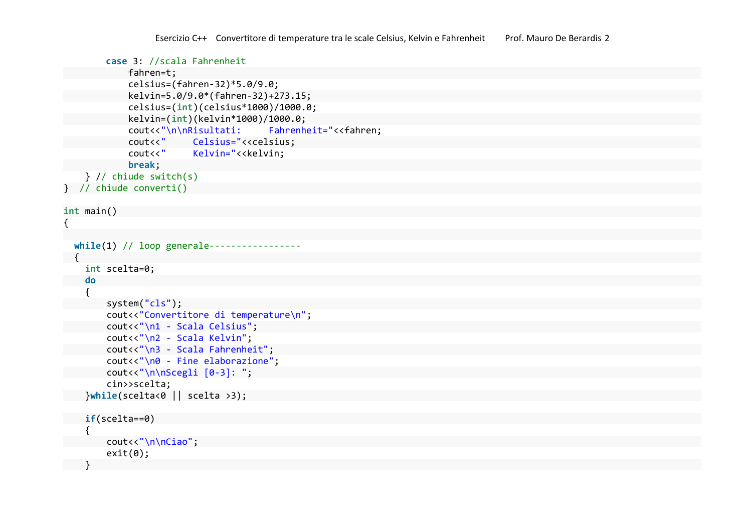```
 case 3: //scala Fahrenheit
           fahren=t;
           celsius=(fahren-32)*5.0/9.0;
           kelvin=5.0/9.0*(fahren-32)+273.15;
           celsius=(int)(celsius*1000)/1000.0;
           kelvin=(int)(kelvin*1000)/1000.0;
           cout<<"\n\nRisultati: Fahrenheit="<<fahren;
           cout<<" Celsius="<<celsius;
           cout<<" Kelvin="<<kelvin;
           break;
   } // chiude switch(s)
} // chiude converti()
```

```
int main()
```

```
{
```

```
while(1) // loop generale-----
{
  int scelta=0;
  do
  {
      system("cls");
      cout<<"Convertitore di temperature\n";
      cout<<"\n1 - Scala Celsius";
      cout<<"\n2 - Scala Kelvin";
      cout<<"\n3 - Scala Fahrenheit";
      cout<<"\n0 - Fine elaborazione";
      cout<<"\n\nScegli [0-3]: ";
      cin>>scelta;
  }while(scelta<0 || scelta >3);
 if(scelta==0)
  {
      cout<<"\n\nCiao";
      exit(0);
```

```
}
```